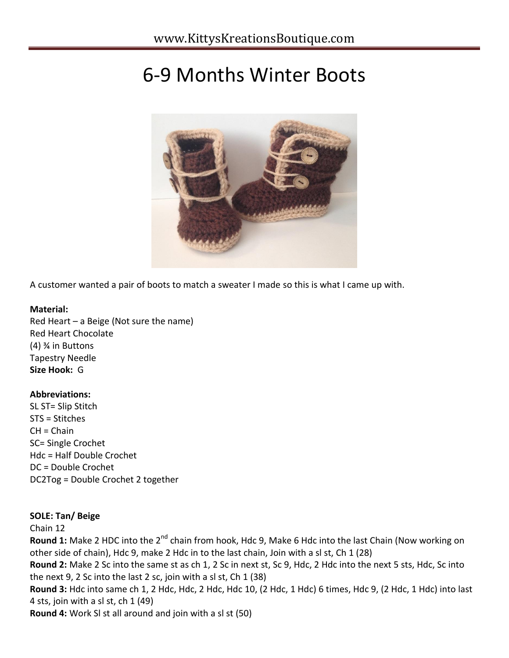# 6-9 Months Winter Boots



A customer wanted a pair of boots to match a sweater I made so this is what I came up with.

# **Material:**

Red Heart – a Beige (Not sure the name) Red Heart Chocolate (4) ¾ in Buttons Tapestry Needle **Size Hook:** G

# **Abbreviations:**

SL ST= Slip Stitch STS = Stitches CH = Chain SC= Single Crochet Hdc = Half Double Crochet DC = Double Crochet DC2Tog = Double Crochet 2 together

# **SOLE: Tan/ Beige**

Chain 12

**Round 1:** Make 2 HDC into the 2<sup>nd</sup> chain from hook, Hdc 9, Make 6 Hdc into the last Chain (Now working on other side of chain), Hdc 9, make 2 Hdc in to the last chain, Join with a sl st, Ch 1 (28)

**Round 2:** Make 2 Sc into the same st as ch 1, 2 Sc in next st, Sc 9, Hdc, 2 Hdc into the next 5 sts, Hdc, Sc into the next 9, 2 Sc into the last 2 sc, join with a sl st, Ch 1 (38)

**Round 3:** Hdc into same ch 1, 2 Hdc, Hdc, 2 Hdc, Hdc 10, (2 Hdc, 1 Hdc) 6 times, Hdc 9, (2 Hdc, 1 Hdc) into last 4 sts, join with a sl st, ch 1 (49)

**Round 4:** Work Sl st all around and join with a sl st (50)